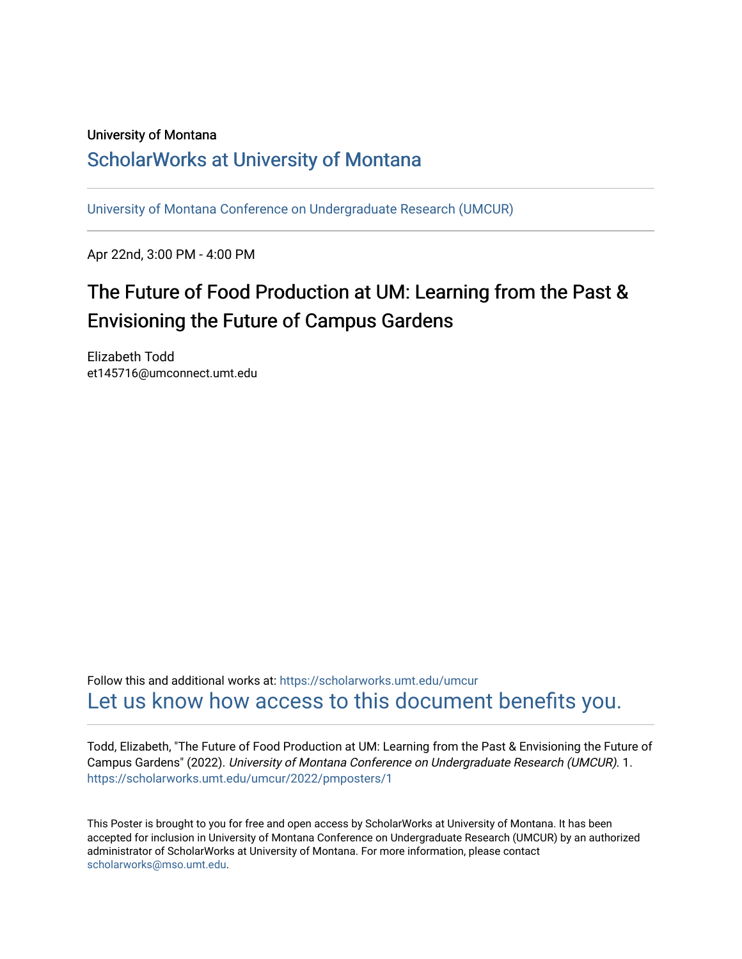### University of Montana

### [ScholarWorks at University of Montana](https://scholarworks.umt.edu/)

[University of Montana Conference on Undergraduate Research \(UMCUR\)](https://scholarworks.umt.edu/umcur)

Apr 22nd, 3:00 PM - 4:00 PM

### The Future of Food Production at UM: Learning from the Past & Envisioning the Future of Campus Gardens

Elizabeth Todd et145716@umconnect.umt.edu

Follow this and additional works at: [https://scholarworks.umt.edu/umcur](https://scholarworks.umt.edu/umcur?utm_source=scholarworks.umt.edu%2Fumcur%2F2022%2Fpmposters%2F1&utm_medium=PDF&utm_campaign=PDFCoverPages)  [Let us know how access to this document benefits you.](https://goo.gl/forms/s2rGfXOLzz71qgsB2) 

Todd, Elizabeth, "The Future of Food Production at UM: Learning from the Past & Envisioning the Future of Campus Gardens" (2022). University of Montana Conference on Undergraduate Research (UMCUR). 1. [https://scholarworks.umt.edu/umcur/2022/pmposters/1](https://scholarworks.umt.edu/umcur/2022/pmposters/1?utm_source=scholarworks.umt.edu%2Fumcur%2F2022%2Fpmposters%2F1&utm_medium=PDF&utm_campaign=PDFCoverPages)

This Poster is brought to you for free and open access by ScholarWorks at University of Montana. It has been accepted for inclusion in University of Montana Conference on Undergraduate Research (UMCUR) by an authorized administrator of ScholarWorks at University of Montana. For more information, please contact [scholarworks@mso.umt.edu.](mailto:scholarworks@mso.umt.edu)